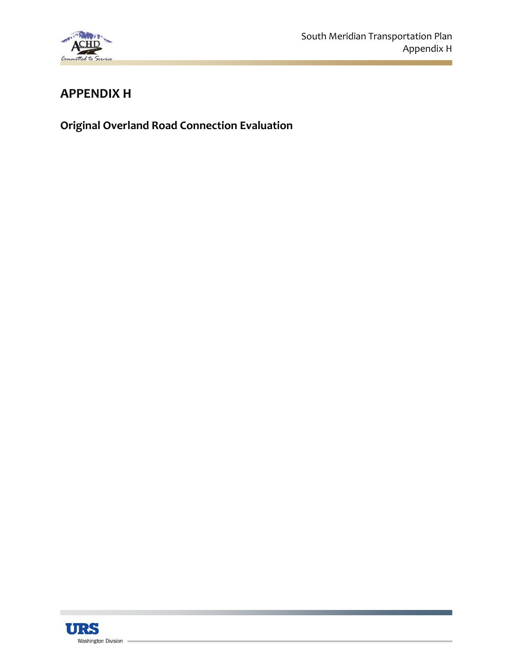

# **APPENDIX H**

**Original Overland Road Connection Evaluation**

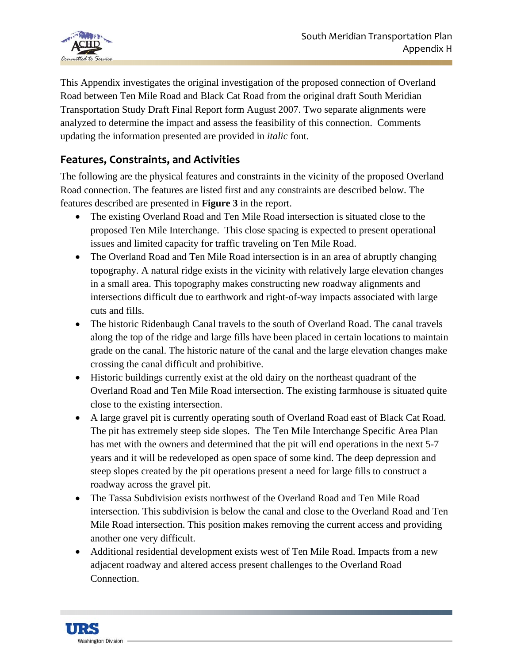

This Appendix investigates the original investigation of the proposed connection of Overland Road between Ten Mile Road and Black Cat Road from the original draft South Meridian Transportation Study Draft Final Report form August 2007. Two separate alignments were analyzed to determine the impact and assess the feasibility of this connection. Comments updating the information presented are provided in *italic* font.

## **Features, Constraints, and Activities**

The following are the physical features and constraints in the vicinity of the proposed Overland Road connection. The features are listed first and any constraints are described below. The features described are presented in **Figure 3** in the report.

- The existing Overland Road and Ten Mile Road intersection is situated close to the proposed Ten Mile Interchange. This close spacing is expected to present operational issues and limited capacity for traffic traveling on Ten Mile Road.
- The Overland Road and Ten Mile Road intersection is in an area of abruptly changing topography. A natural ridge exists in the vicinity with relatively large elevation changes in a small area. This topography makes constructing new roadway alignments and intersections difficult due to earthwork and right-of-way impacts associated with large cuts and fills.
- The historic Ridenbaugh Canal travels to the south of Overland Road. The canal travels along the top of the ridge and large fills have been placed in certain locations to maintain grade on the canal. The historic nature of the canal and the large elevation changes make crossing the canal difficult and prohibitive.
- Historic buildings currently exist at the old dairy on the northeast quadrant of the Overland Road and Ten Mile Road intersection. The existing farmhouse is situated quite close to the existing intersection.
- A large gravel pit is currently operating south of Overland Road east of Black Cat Road. The pit has extremely steep side slopes. The Ten Mile Interchange Specific Area Plan has met with the owners and determined that the pit will end operations in the next 5-7 years and it will be redeveloped as open space of some kind. The deep depression and steep slopes created by the pit operations present a need for large fills to construct a roadway across the gravel pit.
- The Tassa Subdivision exists northwest of the Overland Road and Ten Mile Road intersection. This subdivision is below the canal and close to the Overland Road and Ten Mile Road intersection. This position makes removing the current access and providing another one very difficult.
- Additional residential development exists west of Ten Mile Road. Impacts from a new adjacent roadway and altered access present challenges to the Overland Road Connection.

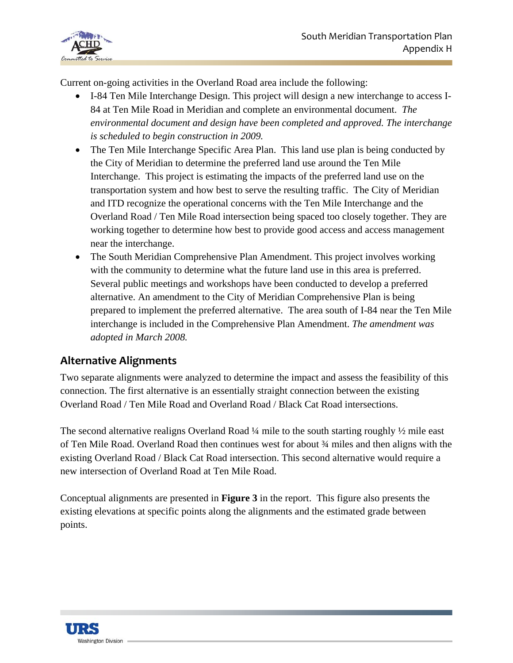

Current on-going activities in the Overland Road area include the following:

- I-84 Ten Mile Interchange Design. This project will design a new interchange to access I-84 at Ten Mile Road in Meridian and complete an environmental document. *The environmental document and design have been completed and approved. The interchange is scheduled to begin construction in 2009.*
- The Ten Mile Interchange Specific Area Plan. This land use plan is being conducted by the City of Meridian to determine the preferred land use around the Ten Mile Interchange. This project is estimating the impacts of the preferred land use on the transportation system and how best to serve the resulting traffic. The City of Meridian and ITD recognize the operational concerns with the Ten Mile Interchange and the Overland Road / Ten Mile Road intersection being spaced too closely together. They are working together to determine how best to provide good access and access management near the interchange.
- The South Meridian Comprehensive Plan Amendment. This project involves working with the community to determine what the future land use in this area is preferred. Several public meetings and workshops have been conducted to develop a preferred alternative. An amendment to the City of Meridian Comprehensive Plan is being prepared to implement the preferred alternative. The area south of I-84 near the Ten Mile interchange is included in the Comprehensive Plan Amendment. *The amendment was adopted in March 2008.*

## **Alternative Alignments**

Two separate alignments were analyzed to determine the impact and assess the feasibility of this connection. The first alternative is an essentially straight connection between the existing Overland Road / Ten Mile Road and Overland Road / Black Cat Road intersections.

The second alternative realigns Overland Road  $\frac{1}{4}$  mile to the south starting roughly  $\frac{1}{2}$  mile east of Ten Mile Road. Overland Road then continues west for about ¾ miles and then aligns with the existing Overland Road / Black Cat Road intersection. This second alternative would require a new intersection of Overland Road at Ten Mile Road.

Conceptual alignments are presented in **Figure 3** in the report. This figure also presents the existing elevations at specific points along the alignments and the estimated grade between points.

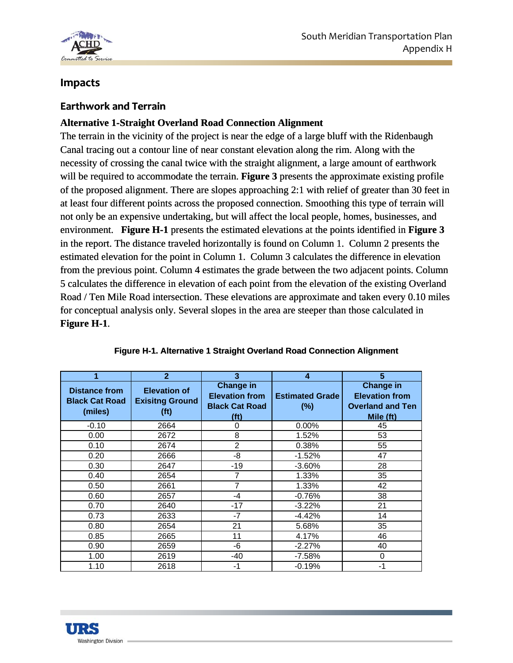

## **Impacts**

### **Earthwork and Terrain**

## **Alternative 1-Straight Overland Road Connection Alignment**

The terrain in the vicinity of the project is near the edge of a large bluff with the Ridenbaugh Canal tracing out a contour line of near constant elevation along the rim. Along with the necessity of crossing the canal twice with the straight alignment, a large amount of earthwork will be required to accommodate the terrain. **Figure 3** presents the approximate existing profile of the proposed alignment. There are slopes approaching 2:1 with relief of greater than 30 feet in at least four different points across the proposed connection. Smoothing this type of terrain will not only be an expensive undertaking, but will affect the local people, homes, businesses, and environment. **Figure H-1** presents the estimated elevations at the points identified in **Figure 3**  in the report. The distance traveled horizontally is found on Column 1. Column 2 presents the estimated elevation for the point in Column 1. Column 3 calculates the difference in elevation from the previous point. Column 4 estimates the grade between the two adjacent points. Column 5 calculates the difference in elevation of each point from the elevation of the existing Overland Road / Ten Mile Road intersection. These elevations are approximate and taken every 0.10 miles for conceptual analysis only. Several slopes in the area are steeper than those calculated in **Figure H-1**.

|                                                          | $\overline{2}$                                                     | 3                                                                                       | 4                                | 5                                                                                 |
|----------------------------------------------------------|--------------------------------------------------------------------|-----------------------------------------------------------------------------------------|----------------------------------|-----------------------------------------------------------------------------------|
| <b>Distance from</b><br><b>Black Cat Road</b><br>(miles) | <b>Elevation of</b><br><b>Exisitng Ground</b><br>(f <sup>t</sup> ) | <b>Change in</b><br><b>Elevation from</b><br><b>Black Cat Road</b><br>(f <sub>t</sub> ) | <b>Estimated Grade</b><br>$(\%)$ | <b>Change in</b><br><b>Elevation from</b><br><b>Overland and Ten</b><br>Mile (ft) |
| $-0.10$                                                  | 2664                                                               | $\Omega$                                                                                | $0.00\%$                         | 45                                                                                |
| 0.00                                                     | 2672                                                               | 8                                                                                       | 1.52%                            | 53                                                                                |
| 0.10                                                     | 2674                                                               | $\overline{2}$                                                                          | 0.38%                            | 55                                                                                |
| 0.20                                                     | 2666                                                               | -8                                                                                      | $-1.52%$                         | 47                                                                                |
| 0.30                                                     | 2647                                                               | $-19$                                                                                   | $-3.60%$                         | 28                                                                                |
| 0.40                                                     | 2654                                                               | 7                                                                                       | 1.33%                            | 35                                                                                |
| 0.50                                                     | 2661                                                               | 7                                                                                       | 1.33%                            | 42                                                                                |
| 0.60                                                     | 2657                                                               | -4                                                                                      | $-0.76%$                         | 38                                                                                |
| 0.70                                                     | 2640                                                               | $-17$                                                                                   | $-3.22%$                         | 21                                                                                |
| 0.73                                                     | 2633                                                               | $-7$                                                                                    | $-4.42%$                         | 14                                                                                |
| 0.80                                                     | 2654                                                               | 21                                                                                      | 5.68%                            | 35                                                                                |
| 0.85                                                     | 2665                                                               | 11                                                                                      | 4.17%                            | 46                                                                                |
| 0.90                                                     | 2659                                                               | -6                                                                                      | $-2.27%$                         | 40                                                                                |
| 1.00                                                     | 2619                                                               | $-40$                                                                                   | $-7.58%$                         | 0                                                                                 |
| 1.10                                                     | 2618                                                               | -1                                                                                      | $-0.19%$                         | -1                                                                                |

#### **Figure H-1. Alternative 1 Straight Overland Road Connection Alignment**

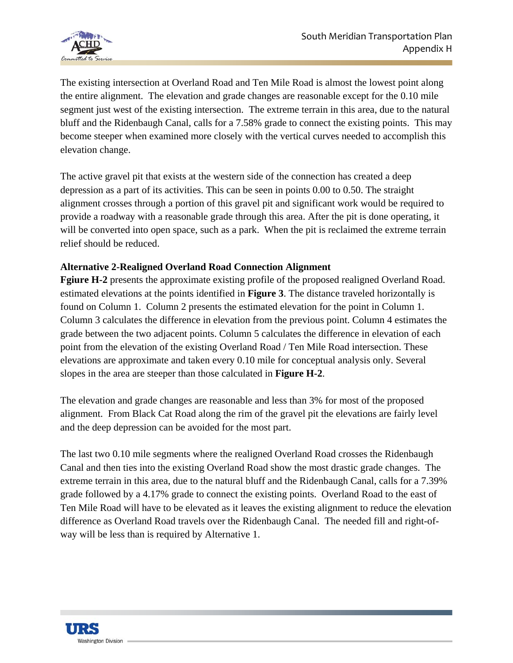

The existing intersection at Overland Road and Ten Mile Road is almost the lowest point along the entire alignment. The elevation and grade changes are reasonable except for the 0.10 mile segment just west of the existing intersection. The extreme terrain in this area, due to the natural bluff and the Ridenbaugh Canal, calls for a 7.58% grade to connect the existing points. This may become steeper when examined more closely with the vertical curves needed to accomplish this elevation change.

The active gravel pit that exists at the western side of the connection has created a deep depression as a part of its activities. This can be seen in points 0.00 to 0.50. The straight alignment crosses through a portion of this gravel pit and significant work would be required to provide a roadway with a reasonable grade through this area. After the pit is done operating, it will be converted into open space, such as a park. When the pit is reclaimed the extreme terrain relief should be reduced.

### **Alternative 2-Realigned Overland Road Connection Alignment**

**Fgiure H-2** presents the approximate existing profile of the proposed realigned Overland Road. estimated elevations at the points identified in **Figure 3**. The distance traveled horizontally is found on Column 1. Column 2 presents the estimated elevation for the point in Column 1. Column 3 calculates the difference in elevation from the previous point. Column 4 estimates the grade between the two adjacent points. Column 5 calculates the difference in elevation of each point from the elevation of the existing Overland Road / Ten Mile Road intersection. These elevations are approximate and taken every 0.10 mile for conceptual analysis only. Several slopes in the area are steeper than those calculated in **Figure H-2**.

The elevation and grade changes are reasonable and less than 3% for most of the proposed alignment. From Black Cat Road along the rim of the gravel pit the elevations are fairly level and the deep depression can be avoided for the most part.

The last two 0.10 mile segments where the realigned Overland Road crosses the Ridenbaugh Canal and then ties into the existing Overland Road show the most drastic grade changes. The extreme terrain in this area, due to the natural bluff and the Ridenbaugh Canal, calls for a 7.39% grade followed by a 4.17% grade to connect the existing points. Overland Road to the east of Ten Mile Road will have to be elevated as it leaves the existing alignment to reduce the elevation difference as Overland Road travels over the Ridenbaugh Canal. The needed fill and right-ofway will be less than is required by Alternative 1.

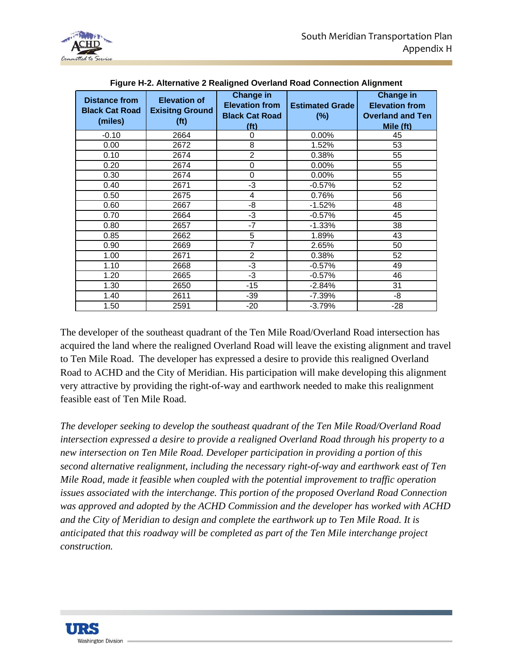

| <b>Distance from</b><br><b>Black Cat Road</b><br>(miles) | <b>Elevation of</b><br><b>Exisitng Ground</b><br>(f <sup>t</sup> ) | <b>Change in</b><br><b>Elevation from</b><br><b>Black Cat Road</b><br>(f <sup>t</sup> ) | <b>Estimated Grade</b><br>$(\%)$ | <b>Change in</b><br><b>Elevation from</b><br><b>Overland and Ten</b><br>Mile (ft) |
|----------------------------------------------------------|--------------------------------------------------------------------|-----------------------------------------------------------------------------------------|----------------------------------|-----------------------------------------------------------------------------------|
| $-0.10$                                                  | 2664                                                               | 0                                                                                       | 0.00%                            | 45                                                                                |
| 0.00                                                     | 2672                                                               | 8                                                                                       | 1.52%                            | 53                                                                                |
| 0.10                                                     | 2674                                                               | $\overline{2}$                                                                          | 0.38%                            | 55                                                                                |
| 0.20                                                     | 2674                                                               | 0                                                                                       | 0.00%                            | 55                                                                                |
| 0.30                                                     | 2674                                                               | $\mathbf 0$                                                                             | 0.00%                            | 55                                                                                |
| 0.40                                                     | 2671                                                               | -3                                                                                      | $-0.57%$                         | 52                                                                                |
| 0.50                                                     | 2675                                                               | 4                                                                                       | 0.76%                            | 56                                                                                |
| 0.60                                                     | 2667                                                               | -8                                                                                      | $-1.52%$                         | 48                                                                                |
| 0.70                                                     | 2664                                                               | $-3$                                                                                    | $-0.57%$                         | 45                                                                                |
| 0.80                                                     | 2657                                                               | $-7$                                                                                    | $-1.33%$                         | 38                                                                                |
| 0.85                                                     | 2662                                                               | 5                                                                                       | 1.89%                            | 43                                                                                |
| 0.90                                                     | 2669                                                               | 7                                                                                       | 2.65%                            | 50                                                                                |
| 1.00                                                     | 2671                                                               | $\overline{2}$                                                                          | 0.38%                            | 52                                                                                |
| 1.10                                                     | 2668                                                               | $-3$                                                                                    | $-0.57%$                         | 49                                                                                |
| 1.20                                                     | 2665                                                               | -3                                                                                      | $-0.57%$                         | 46                                                                                |
| 1.30                                                     | 2650                                                               | $-15$                                                                                   | $-2.84%$                         | 31                                                                                |
| 1.40                                                     | 2611                                                               | -39                                                                                     | $-7.39%$                         | -8                                                                                |
| 1.50                                                     | 2591                                                               | $-20$                                                                                   | $-3.79%$                         | $-28$                                                                             |

| Figure H-2. Alternative 2 Realigned Overland Road Connection Alignment |
|------------------------------------------------------------------------|
|------------------------------------------------------------------------|

The developer of the southeast quadrant of the Ten Mile Road/Overland Road intersection has acquired the land where the realigned Overland Road will leave the existing alignment and travel to Ten Mile Road. The developer has expressed a desire to provide this realigned Overland Road to ACHD and the City of Meridian. His participation will make developing this alignment very attractive by providing the right-of-way and earthwork needed to make this realignment feasible east of Ten Mile Road.

*The developer seeking to develop the southeast quadrant of the Ten Mile Road/Overland Road intersection expressed a desire to provide a realigned Overland Road through his property to a new intersection on Ten Mile Road. Developer participation in providing a portion of this second alternative realignment, including the necessary right-of-way and earthwork east of Ten Mile Road, made it feasible when coupled with the potential improvement to traffic operation issues associated with the interchange. This portion of the proposed Overland Road Connection was approved and adopted by the ACHD Commission and the developer has worked with ACHD and the City of Meridian to design and complete the earthwork up to Ten Mile Road. It is anticipated that this roadway will be completed as part of the Ten Mile interchange project construction.*

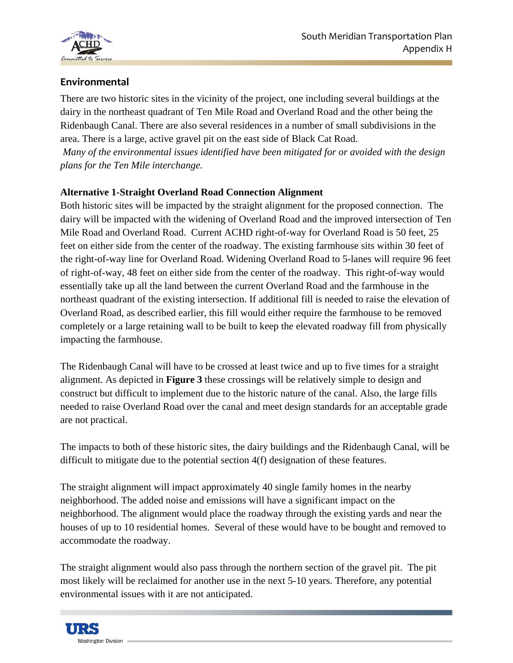

## **Environmental**

There are two historic sites in the vicinity of the project, one including several buildings at the dairy in the northeast quadrant of Ten Mile Road and Overland Road and the other being the Ridenbaugh Canal. There are also several residences in a number of small subdivisions in the area. There is a large, active gravel pit on the east side of Black Cat Road.

 *Many of the environmental issues identified have been mitigated for or avoided with the design plans for the Ten Mile interchange.* 

## **Alternative 1-Straight Overland Road Connection Alignment**

Both historic sites will be impacted by the straight alignment for the proposed connection. The dairy will be impacted with the widening of Overland Road and the improved intersection of Ten Mile Road and Overland Road. Current ACHD right-of-way for Overland Road is 50 feet, 25 feet on either side from the center of the roadway. The existing farmhouse sits within 30 feet of the right-of-way line for Overland Road. Widening Overland Road to 5-lanes will require 96 feet of right-of-way, 48 feet on either side from the center of the roadway. This right-of-way would essentially take up all the land between the current Overland Road and the farmhouse in the northeast quadrant of the existing intersection. If additional fill is needed to raise the elevation of Overland Road, as described earlier, this fill would either require the farmhouse to be removed completely or a large retaining wall to be built to keep the elevated roadway fill from physically impacting the farmhouse.

The Ridenbaugh Canal will have to be crossed at least twice and up to five times for a straight alignment. As depicted in **Figure 3** these crossings will be relatively simple to design and construct but difficult to implement due to the historic nature of the canal. Also, the large fills needed to raise Overland Road over the canal and meet design standards for an acceptable grade are not practical.

The impacts to both of these historic sites, the dairy buildings and the Ridenbaugh Canal, will be difficult to mitigate due to the potential section 4(f) designation of these features.

The straight alignment will impact approximately 40 single family homes in the nearby neighborhood. The added noise and emissions will have a significant impact on the neighborhood. The alignment would place the roadway through the existing yards and near the houses of up to 10 residential homes. Several of these would have to be bought and removed to accommodate the roadway.

The straight alignment would also pass through the northern section of the gravel pit. The pit most likely will be reclaimed for another use in the next 5-10 years. Therefore, any potential environmental issues with it are not anticipated.

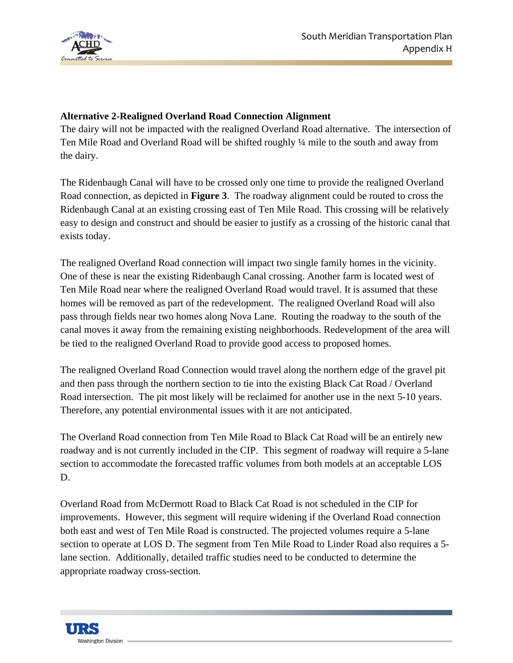

### **Alternative 2-Realigned Overland Road Connection Alignment**

The dairy will not be impacted with the realigned Overland Road alternative. The intersection of Ten Mile Road and Overland Road will be shifted roughly ¼ mile to the south and away from the dairy.

The Ridenbaugh Canal will have to be crossed only one time to provide the realigned Overland Road connection, as depicted in **Figure 3**. The roadway alignment could be routed to cross the Ridenbaugh Canal at an existing crossing east of Ten Mile Road. This crossing will be relatively easy to design and construct and should be easier to justify as a crossing of the historic canal that exists today.

The realigned Overland Road connection will impact two single family homes in the vicinity. One of these is near the existing Ridenbaugh Canal crossing. Another farm is located west of Ten Mile Road near where the realigned Overland Road would travel. It is assumed that these homes will be removed as part of the redevelopment. The realigned Overland Road will also pass through fields near two homes along Nova Lane. Routing the roadway to the south of the canal moves it away from the remaining existing neighborhoods. Redevelopment of the area will be tied to the realigned Overland Road to provide good access to proposed homes.

The realigned Overland Road Connection would travel along the northern edge of the gravel pit and then pass through the northern section to tie into the existing Black Cat Road / Overland Road intersection. The pit most likely will be reclaimed for another use in the next 5-10 years. Therefore, any potential environmental issues with it are not anticipated.

The Overland Road connection from Ten Mile Road to Black Cat Road will be an entirely new roadway and is not currently included in the CIP. This segment of roadway will require a 5-lane section to accommodate the forecasted traffic volumes from both models at an acceptable LOS D.

Overland Road from McDermott Road to Black Cat Road is not scheduled in the CIP for improvements. However, this segment will require widening if the Overland Road connection both east and west of Ten Mile Road is constructed. The projected volumes require a 5-lane section to operate at LOS D. The segment from Ten Mile Road to Linder Road also requires a 5 lane section. Additionally, detailed traffic studies need to be conducted to determine the appropriate roadway cross-section.

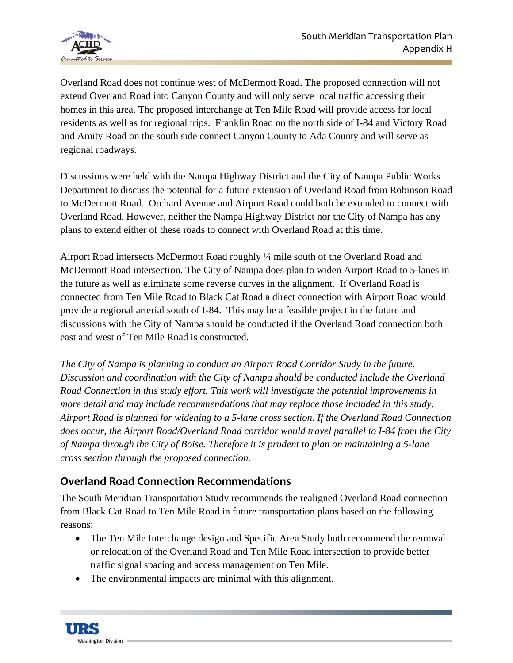

Overland Road does not continue west of McDermott Road. The proposed connection will not extend Overland Road into Canyon County and will only serve local traffic accessing their homes in this area. The proposed interchange at Ten Mile Road will provide access for local residents as well as for regional trips. Franklin Road on the north side of I-84 and Victory Road and Amity Road on the south side connect Canyon County to Ada County and will serve as regional roadways.

Discussions were held with the Nampa Highway District and the City of Nampa Public Works Department to discuss the potential for a future extension of Overland Road from Robinson Road to McDermott Road. Orchard Avenue and Airport Road could both be extended to connect with Overland Road. However, neither the Nampa Highway District nor the City of Nampa has any plans to extend either of these roads to connect with Overland Road at this time.

Airport Road intersects McDermott Road roughly ¼ mile south of the Overland Road and McDermott Road intersection. The City of Nampa does plan to widen Airport Road to 5-lanes in the future as well as eliminate some reverse curves in the alignment. If Overland Road is connected from Ten Mile Road to Black Cat Road a direct connection with Airport Road would provide a regional arterial south of I-84. This may be a feasible project in the future and discussions with the City of Nampa should be conducted if the Overland Road connection both east and west of Ten Mile Road is constructed.

*The City of Nampa is planning to conduct an Airport Road Corridor Study in the future. Discussion and coordination with the City of Nampa should be conducted include the Overland Road Connection in this study effort. This work will investigate the potential improvements in more detail and may include recommendations that may replace those included in this study. Airport Road is planned for widening to a 5-lane cross section. If the Overland Road Connection does occur, the Airport Road/Overland Road corridor would travel parallel to I-84 from the City of Nampa through the City of Boise. Therefore it is prudent to plan on maintaining a 5-lane cross section through the proposed connection.* 

## **Overland Road Connection Recommendations**

The South Meridian Transportation Study recommends the realigned Overland Road connection from Black Cat Road to Ten Mile Road in future transportation plans based on the following reasons:

- The Ten Mile Interchange design and Specific Area Study both recommend the removal or relocation of the Overland Road and Ten Mile Road intersection to provide better traffic signal spacing and access management on Ten Mile.
- The environmental impacts are minimal with this alignment.